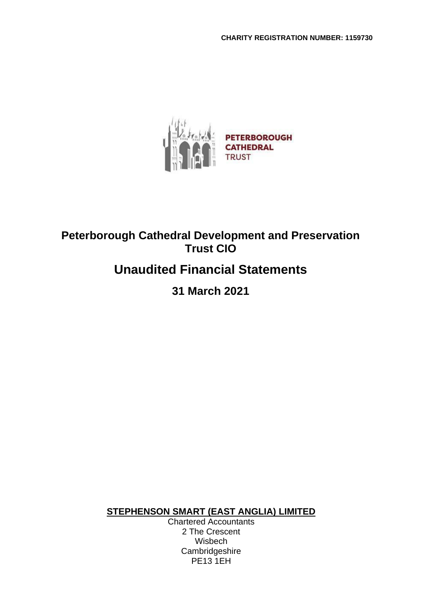

# **Unaudited Financial Statements**

**31 March 2021**

**STEPHENSON SMART (EAST ANGLIA) LIMITED**

Chartered Accountants 2 The Crescent Wisbech **Cambridgeshire** PE13 1EH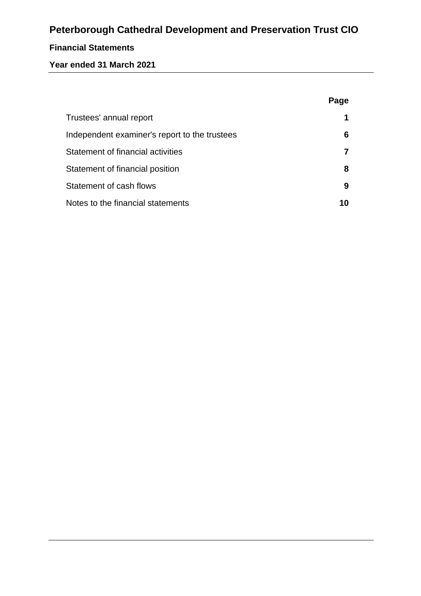## **Financial Statements**

## **Year ended 31 March 2021**

|                                               | Page |
|-----------------------------------------------|------|
| Trustees' annual report                       |      |
| Independent examiner's report to the trustees | 6    |
| Statement of financial activities             |      |
| Statement of financial position               | 8    |
| Statement of cash flows                       | 9    |
| Notes to the financial statements             | 10   |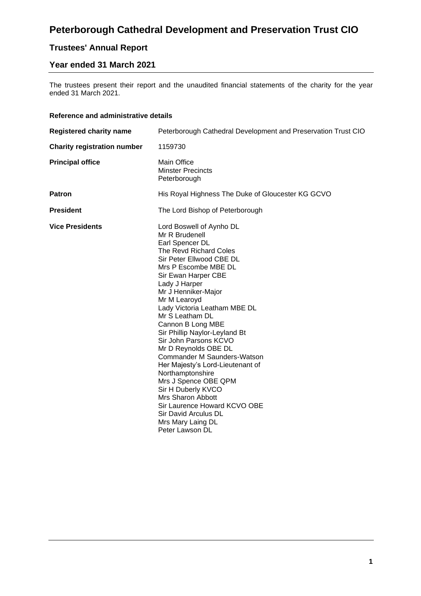# **Trustees' Annual Report**

## **Year ended 31 March 2021**

The trustees present their report and the unaudited financial statements of the charity for the year ended 31 March 2021.

#### **Reference and administrative details**

| <b>Registered charity name</b>     | Peterborough Cathedral Development and Preservation Trust CIO                                                                                                                                                                                                                                                                                                                                                                                                                                                                                                                                                                                  |  |  |  |
|------------------------------------|------------------------------------------------------------------------------------------------------------------------------------------------------------------------------------------------------------------------------------------------------------------------------------------------------------------------------------------------------------------------------------------------------------------------------------------------------------------------------------------------------------------------------------------------------------------------------------------------------------------------------------------------|--|--|--|
| <b>Charity registration number</b> | 1159730                                                                                                                                                                                                                                                                                                                                                                                                                                                                                                                                                                                                                                        |  |  |  |
| <b>Principal office</b>            | <b>Main Office</b><br><b>Minster Precincts</b><br>Peterborough                                                                                                                                                                                                                                                                                                                                                                                                                                                                                                                                                                                 |  |  |  |
| <b>Patron</b>                      | His Royal Highness The Duke of Gloucester KG GCVO                                                                                                                                                                                                                                                                                                                                                                                                                                                                                                                                                                                              |  |  |  |
| <b>President</b>                   | The Lord Bishop of Peterborough                                                                                                                                                                                                                                                                                                                                                                                                                                                                                                                                                                                                                |  |  |  |
| <b>Vice Presidents</b>             | Lord Boswell of Aynho DL<br>Mr R Brudenell<br>Earl Spencer DL<br>The Revd Richard Coles<br>Sir Peter Ellwood CBE DL<br>Mrs P Escombe MBE DL<br>Sir Ewan Harper CBE<br>Lady J Harper<br>Mr J Henniker-Major<br>Mr M Learoyd<br>Lady Victoria Leatham MBE DL<br>Mr S Leatham DL<br>Cannon B Long MBE<br>Sir Phillip Naylor-Leyland Bt<br>Sir John Parsons KCVO<br>Mr D Reynolds OBE DL<br>Commander M Saunders-Watson<br>Her Majesty's Lord-Lieutenant of<br>Northamptonshire<br>Mrs J Spence OBE QPM<br>Sir H Duberly KVCO<br>Mrs Sharon Abbott<br>Sir Laurence Howard KCVO OBE<br>Sir David Arculus DL<br>Mrs Mary Laing DL<br>Peter Lawson DL |  |  |  |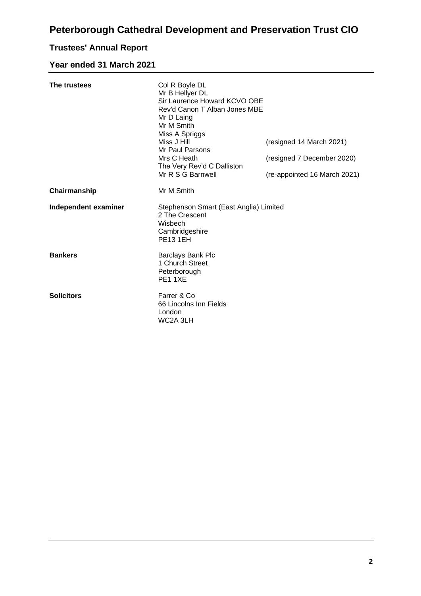# **Trustees' Annual Report**

## **Year ended 31 March 2021**

| The trustees         | Col R Boyle DL<br>Mr B Hellyer DL<br>Sir Laurence Howard KCVO OBE<br>Rev'd Canon T Alban Jones MBE<br>Mr D Laing<br>Mr M Smith<br>Miss A Spriggs<br>Miss J Hill<br>Mr Paul Parsons<br>Mrs C Heath<br>The Very Rev'd C Dalliston<br>Mr R S G Barnwell | (resigned 14 March 2021)<br>(resigned 7 December 2020)<br>(re-appointed 16 March 2021) |
|----------------------|------------------------------------------------------------------------------------------------------------------------------------------------------------------------------------------------------------------------------------------------------|----------------------------------------------------------------------------------------|
| Chairmanship         | Mr M Smith                                                                                                                                                                                                                                           |                                                                                        |
| Independent examiner | Stephenson Smart (East Anglia) Limited<br>2 The Crescent<br>Wisbech<br>Cambridgeshire<br><b>PE131EH</b>                                                                                                                                              |                                                                                        |
| <b>Bankers</b>       | <b>Barclays Bank Plc</b><br>1 Church Street<br>Peterborough<br><b>PE11XE</b>                                                                                                                                                                         |                                                                                        |
| <b>Solicitors</b>    | Farrer & Co<br>66 Lincolns Inn Fields<br>London<br>WC2A 3LH                                                                                                                                                                                          |                                                                                        |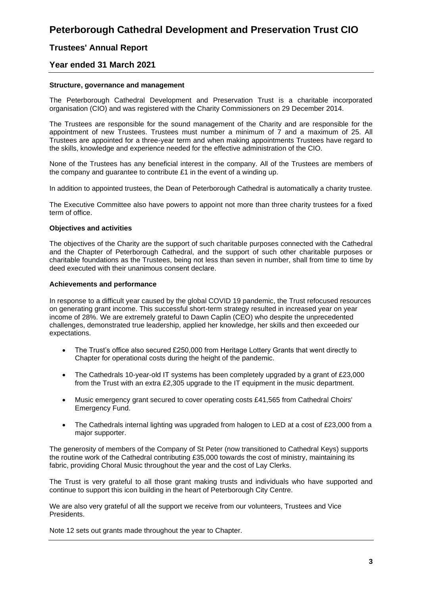## **Trustees' Annual Report**

## **Year ended 31 March 2021**

#### **Structure, governance and management**

The Peterborough Cathedral Development and Preservation Trust is a charitable incorporated organisation (CIO) and was registered with the Charity Commissioners on 29 December 2014.

The Trustees are responsible for the sound management of the Charity and are responsible for the appointment of new Trustees. Trustees must number a minimum of 7 and a maximum of 25. All Trustees are appointed for a three-year term and when making appointments Trustees have regard to the skills, knowledge and experience needed for the effective administration of the CIO.

None of the Trustees has any beneficial interest in the company. All of the Trustees are members of the company and guarantee to contribute £1 in the event of a winding up.

In addition to appointed trustees, the Dean of Peterborough Cathedral is automatically a charity trustee.

The Executive Committee also have powers to appoint not more than three charity trustees for a fixed term of office.

#### **Objectives and activities**

The objectives of the Charity are the support of such charitable purposes connected with the Cathedral and the Chapter of Peterborough Cathedral, and the support of such other charitable purposes or charitable foundations as the Trustees, being not less than seven in number, shall from time to time by deed executed with their unanimous consent declare.

#### **Achievements and performance**

In response to a difficult year caused by the global COVID 19 pandemic, the Trust refocused resources on generating grant income. This successful short-term strategy resulted in increased year on year income of 28%. We are extremely grateful to Dawn Caplin (CEO) who despite the unprecedented challenges, demonstrated true leadership, applied her knowledge, her skills and then exceeded our expectations.

- The Trust's office also secured £250,000 from Heritage Lottery Grants that went directly to Chapter for operational costs during the height of the pandemic.
- The Cathedrals 10-year-old IT systems has been completely upgraded by a grant of £23,000 from the Trust with an extra £2,305 upgrade to the IT equipment in the music department.
- Music emergency grant secured to cover operating costs £41,565 from Cathedral Choirs' Emergency Fund.
- The Cathedrals internal lighting was upgraded from halogen to LED at a cost of £23,000 from a major supporter.

The generosity of members of the Company of St Peter (now transitioned to Cathedral Keys) supports the routine work of the Cathedral contributing £35,000 towards the cost of ministry, maintaining its fabric, providing Choral Music throughout the year and the cost of Lay Clerks.

The Trust is very grateful to all those grant making trusts and individuals who have supported and continue to support this icon building in the heart of Peterborough City Centre.

We are also very grateful of all the support we receive from our volunteers, Trustees and Vice Presidents.

Note 12 sets out grants made throughout the year to Chapter.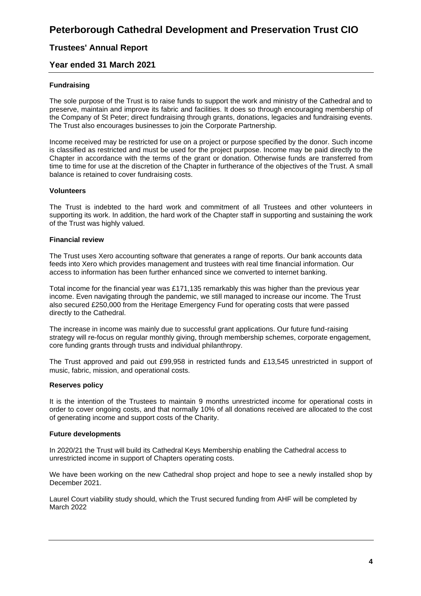## **Trustees' Annual Report**

## **Year ended 31 March 2021**

### **Fundraising**

The sole purpose of the Trust is to raise funds to support the work and ministry of the Cathedral and to preserve, maintain and improve its fabric and facilities. It does so through encouraging membership of the Company of St Peter; direct fundraising through grants, donations, legacies and fundraising events. The Trust also encourages businesses to join the Corporate Partnership.

Income received may be restricted for use on a project or purpose specified by the donor. Such income is classified as restricted and must be used for the project purpose. Income may be paid directly to the Chapter in accordance with the terms of the grant or donation. Otherwise funds are transferred from time to time for use at the discretion of the Chapter in furtherance of the objectives of the Trust. A small balance is retained to cover fundraising costs.

#### **Volunteers**

The Trust is indebted to the hard work and commitment of all Trustees and other volunteers in supporting its work. In addition, the hard work of the Chapter staff in supporting and sustaining the work of the Trust was highly valued.

#### **Financial review**

The Trust uses Xero accounting software that generates a range of reports. Our bank accounts data feeds into Xero which provides management and trustees with real time financial information. Our access to information has been further enhanced since we converted to internet banking.

Total income for the financial year was £171,135 remarkably this was higher than the previous year income. Even navigating through the pandemic, we still managed to increase our income. The Trust also secured £250,000 from the Heritage Emergency Fund for operating costs that were passed directly to the Cathedral.

The increase in income was mainly due to successful grant applications. Our future fund-raising strategy will re-focus on regular monthly giving, through membership schemes, corporate engagement, core funding grants through trusts and individual philanthropy.

The Trust approved and paid out £99,958 in restricted funds and £13,545 unrestricted in support of music, fabric, mission, and operational costs.

#### **Reserves policy**

It is the intention of the Trustees to maintain 9 months unrestricted income for operational costs in order to cover ongoing costs, and that normally 10% of all donations received are allocated to the cost of generating income and support costs of the Charity.

#### **Future developments**

In 2020/21 the Trust will build its Cathedral Keys Membership enabling the Cathedral access to unrestricted income in support of Chapters operating costs.

We have been working on the new Cathedral shop project and hope to see a newly installed shop by December 2021.

Laurel Court viability study should, which the Trust secured funding from AHF will be completed by March 2022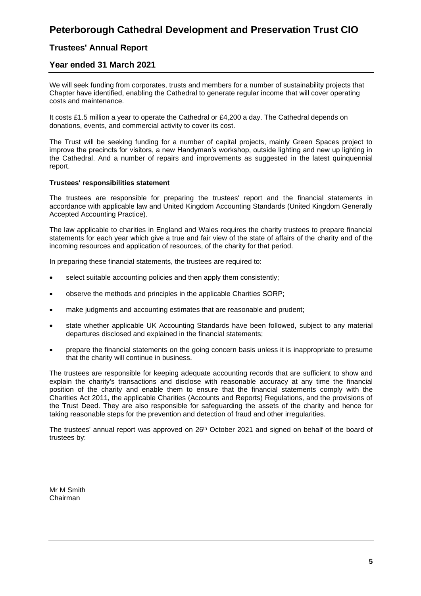## **Trustees' Annual Report**

## **Year ended 31 March 2021**

We will seek funding from corporates, trusts and members for a number of sustainability projects that Chapter have identified, enabling the Cathedral to generate regular income that will cover operating costs and maintenance.

It costs £1.5 million a year to operate the Cathedral or £4,200 a day. The Cathedral depends on donations, events, and commercial activity to cover its cost.

The Trust will be seeking funding for a number of capital projects, mainly Green Spaces project to improve the precincts for visitors, a new Handyman's workshop, outside lighting and new up lighting in the Cathedral. And a number of repairs and improvements as suggested in the latest quinquennial report.

#### **Trustees' responsibilities statement**

The trustees are responsible for preparing the trustees' report and the financial statements in accordance with applicable law and United Kingdom Accounting Standards (United Kingdom Generally Accepted Accounting Practice).

The law applicable to charities in England and Wales requires the charity trustees to prepare financial statements for each year which give a true and fair view of the state of affairs of the charity and of the incoming resources and application of resources, of the charity for that period.

In preparing these financial statements, the trustees are required to:

- select suitable accounting policies and then apply them consistently;
- observe the methods and principles in the applicable Charities SORP;
- make judgments and accounting estimates that are reasonable and prudent;
- state whether applicable UK Accounting Standards have been followed, subject to any material departures disclosed and explained in the financial statements;
- prepare the financial statements on the going concern basis unless it is inappropriate to presume that the charity will continue in business.

The trustees are responsible for keeping adequate accounting records that are sufficient to show and explain the charity's transactions and disclose with reasonable accuracy at any time the financial position of the charity and enable them to ensure that the financial statements comply with the Charities Act 2011, the applicable Charities (Accounts and Reports) Regulations, and the provisions of the Trust Deed. They are also responsible for safeguarding the assets of the charity and hence for taking reasonable steps for the prevention and detection of fraud and other irregularities.

The trustees' annual report was approved on 26<sup>th</sup> October 2021 and signed on behalf of the board of trustees by:

Mr M Smith Chairman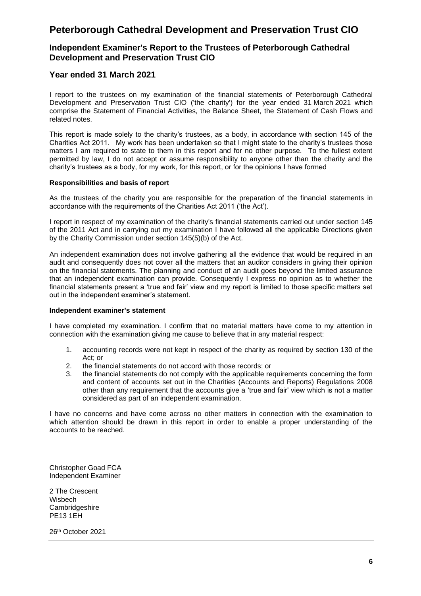## **Independent Examiner's Report to the Trustees of Peterborough Cathedral Development and Preservation Trust CIO**

## **Year ended 31 March 2021**

I report to the trustees on my examination of the financial statements of Peterborough Cathedral Development and Preservation Trust CIO ('the charity') for the year ended 31 March 2021 which comprise the Statement of Financial Activities, the Balance Sheet, the Statement of Cash Flows and related notes.

This report is made solely to the charity's trustees, as a body, in accordance with section 145 of the Charities Act 2011. My work has been undertaken so that I might state to the charity's trustees those matters I am required to state to them in this report and for no other purpose. To the fullest extent permitted by law, I do not accept or assume responsibility to anyone other than the charity and the charity's trustees as a body, for my work, for this report, or for the opinions I have formed

#### **Responsibilities and basis of report**

As the trustees of the charity you are responsible for the preparation of the financial statements in accordance with the requirements of the Charities Act 2011 ('the Act').

I report in respect of my examination of the charity's financial statements carried out under section 145 of the 2011 Act and in carrying out my examination I have followed all the applicable Directions given by the Charity Commission under section 145(5)(b) of the Act.

An independent examination does not involve gathering all the evidence that would be required in an audit and consequently does not cover all the matters that an auditor considers in giving their opinion on the financial statements. The planning and conduct of an audit goes beyond the limited assurance that an independent examination can provide. Consequently I express no opinion as to whether the financial statements present a 'true and fair' view and my report is limited to those specific matters set out in the independent examiner's statement.

#### **Independent examiner's statement**

I have completed my examination. I confirm that no material matters have come to my attention in connection with the examination giving me cause to believe that in any material respect:

- 1. accounting records were not kept in respect of the charity as required by section 130 of the Act; or
- 2. the financial statements do not accord with those records; or
- 3. the financial statements do not comply with the applicable requirements concerning the form and content of accounts set out in the Charities (Accounts and Reports) Regulations 2008 other than any requirement that the accounts give a 'true and fair' view which is not a matter considered as part of an independent examination.

I have no concerns and have come across no other matters in connection with the examination to which attention should be drawn in this report in order to enable a proper understanding of the accounts to be reached.

Christopher Goad FCA Independent Examiner

2 The Crescent Wisbech Cambridgeshire PE13 1EH

26th October 2021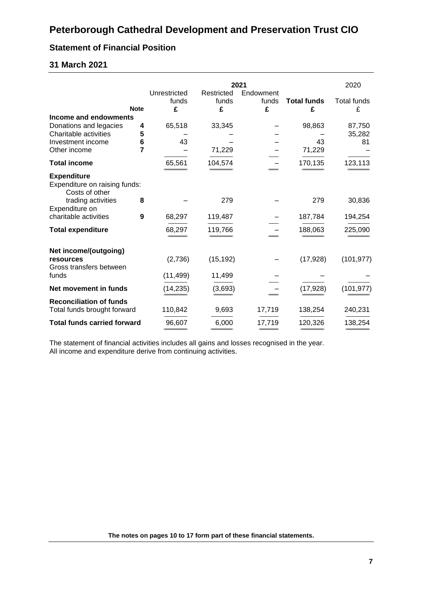## **Statement of Financial Position**

## **31 March 2021**

|                                                                          |             |                            |                          | 2021                    |                         | 2020                    |
|--------------------------------------------------------------------------|-------------|----------------------------|--------------------------|-------------------------|-------------------------|-------------------------|
|                                                                          | <b>Note</b> | Unrestricted<br>funds<br>£ | Restricted<br>funds<br>£ | Endowment<br>funds<br>£ | <b>Total funds</b><br>£ | <b>Total funds</b><br>£ |
| Income and endowments<br>Donations and legacies<br>Charitable activities | 4<br>5      | 65,518                     | 33,345                   |                         | 98,863                  | 87,750<br>35,282        |
| Investment income<br>Other income                                        | 6<br>7      | 43                         | 71,229                   |                         | 43<br>71,229            | 81                      |
| <b>Total income</b>                                                      |             | 65,561                     | 104,574                  |                         | 170,135                 | 123,113                 |
| <b>Expenditure</b><br>Expenditure on raising funds:<br>Costs of other    |             |                            |                          |                         |                         |                         |
| trading activities<br>Expenditure on<br>charitable activities            | 8<br>9      | 68,297                     | 279<br>119,487           |                         | 279<br>187,784          | 30,836<br>194,254       |
| <b>Total expenditure</b>                                                 |             | 68,297                     | 119,766                  |                         | 188,063                 | 225,090                 |
| Net income/(outgoing)<br>resources<br>Gross transfers between            |             | (2,736)                    | (15, 192)                |                         | (17, 928)               | (101, 977)              |
| funds                                                                    |             | (11, 499)                  | 11,499                   |                         |                         |                         |
| Net movement in funds                                                    |             | (14, 235)                  | (3,693)                  |                         | (17, 928)               | (101, 977)              |
| <b>Reconciliation of funds</b><br>Total funds brought forward            |             | 110,842                    | 9,693                    | 17,719                  | 138,254                 | 240,231                 |
| <b>Total funds carried forward</b>                                       |             | 96,607                     | 6,000                    | 17,719                  | 120,326                 | 138,254                 |

The statement of financial activities includes all gains and losses recognised in the year. All income and expenditure derive from continuing activities.

**The notes on pages 10 to 17 form part of these financial statements.**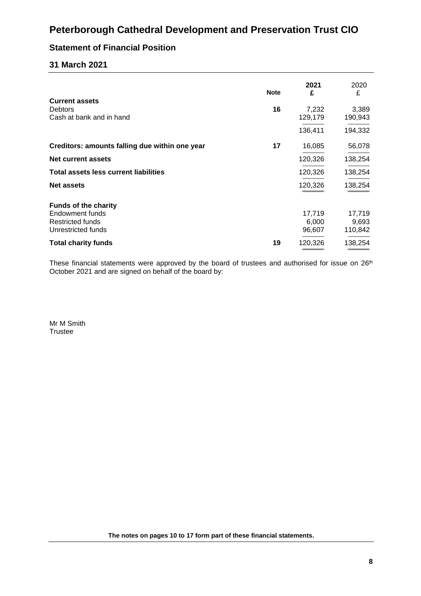## **Statement of Financial Position**

## **31 March 2021**

| <b>Note</b> | 2021<br>£ | 2020<br>£        |
|-------------|-----------|------------------|
|             |           |                  |
|             | 129,179   | 3,389<br>190,943 |
|             | 136,411   | 194,332          |
| 17          | 16,085    | 56,078           |
|             | 120,326   | 138,254          |
|             | 120,326   | 138,254          |
|             | 120,326   | 138,254          |
|             |           |                  |
|             | 17,719    | 17,719           |
|             | 6,000     | 9,693            |
|             |           | 110,842          |
| 19          | 120,326   | 138,254          |
|             | 16        | 7,232<br>96,607  |

These financial statements were approved by the board of trustees and authorised for issue on 26<sup>th</sup> October 2021 and are signed on behalf of the board by:

Mr M Smith **Trustee** 

**The notes on pages 10 to 17 form part of these financial statements.**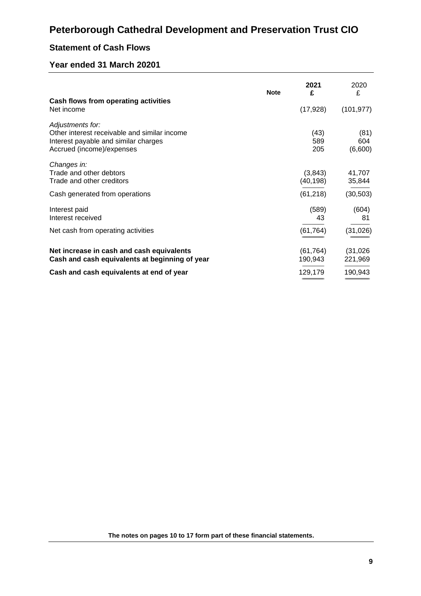## **Statement of Cash Flows**

## **Year ended 31 March 20201**

|                                                                                                                                       | <b>Note</b> | 2021<br>£            | 2020<br>£              |
|---------------------------------------------------------------------------------------------------------------------------------------|-------------|----------------------|------------------------|
| Cash flows from operating activities<br>Net income                                                                                    |             | (17, 928)            | (101, 977)             |
| Adjustments for:<br>Other interest receivable and similar income<br>Interest payable and similar charges<br>Accrued (income)/expenses |             | (43)<br>589<br>205   | (81)<br>604<br>(6,600) |
| Changes in:<br>Trade and other debtors<br>Trade and other creditors                                                                   |             | (3,843)<br>(40, 198) | 41,707<br>35,844       |
| Cash generated from operations                                                                                                        |             | (61, 218)            | (30, 503)              |
| Interest paid<br>Interest received                                                                                                    |             | (589)<br>43          | (604)<br>81            |
| Net cash from operating activities                                                                                                    |             | (61, 764)            | (31, 026)              |
| Net increase in cash and cash equivalents<br>Cash and cash equivalents at beginning of year                                           |             | (61, 764)<br>190,943 | (31, 026)<br>221,969   |
| Cash and cash equivalents at end of year                                                                                              |             | 129,179              | 190,943                |

**The notes on pages 10 to 17 form part of these financial statements.**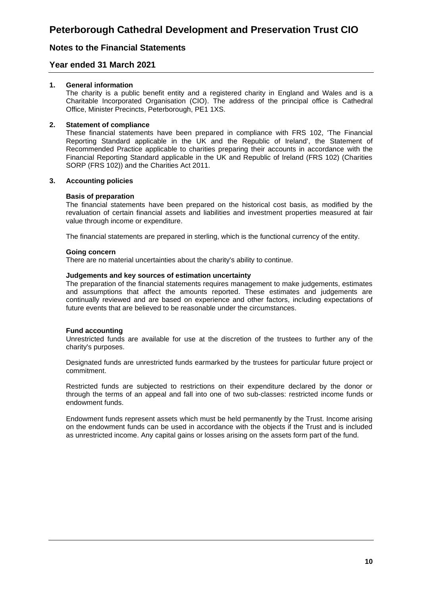## **Notes to the Financial Statements**

### **Year ended 31 March 2021**

#### **1. General information**

The charity is a public benefit entity and a registered charity in England and Wales and is a Charitable Incorporated Organisation (CIO). The address of the principal office is Cathedral Office, Minister Precincts, Peterborough, PE1 1XS.

#### **2. Statement of compliance**

These financial statements have been prepared in compliance with FRS 102, 'The Financial Reporting Standard applicable in the UK and the Republic of Ireland', the Statement of Recommended Practice applicable to charities preparing their accounts in accordance with the Financial Reporting Standard applicable in the UK and Republic of Ireland (FRS 102) (Charities SORP (FRS 102)) and the Charities Act 2011.

#### **3. Accounting policies**

#### **Basis of preparation**

The financial statements have been prepared on the historical cost basis, as modified by the revaluation of certain financial assets and liabilities and investment properties measured at fair value through income or expenditure.

The financial statements are prepared in sterling, which is the functional currency of the entity.

#### **Going concern**

There are no material uncertainties about the charity's ability to continue.

#### **Judgements and key sources of estimation uncertainty**

The preparation of the financial statements requires management to make judgements, estimates and assumptions that affect the amounts reported. These estimates and judgements are continually reviewed and are based on experience and other factors, including expectations of future events that are believed to be reasonable under the circumstances.

#### **Fund accounting**

Unrestricted funds are available for use at the discretion of the trustees to further any of the charity's purposes.

Designated funds are unrestricted funds earmarked by the trustees for particular future project or commitment.

Restricted funds are subjected to restrictions on their expenditure declared by the donor or through the terms of an appeal and fall into one of two sub-classes: restricted income funds or endowment funds.

Endowment funds represent assets which must be held permanently by the Trust. Income arising on the endowment funds can be used in accordance with the objects if the Trust and is included as unrestricted income. Any capital gains or losses arising on the assets form part of the fund.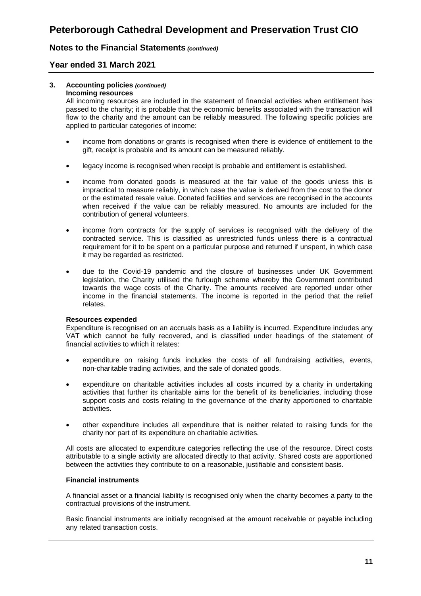## **Notes to the Financial Statements** *(continued)*

## **Year ended 31 March 2021**

## **3. Accounting policies** *(continued)*

#### **Incoming resources**

All incoming resources are included in the statement of financial activities when entitlement has passed to the charity; it is probable that the economic benefits associated with the transaction will flow to the charity and the amount can be reliably measured. The following specific policies are applied to particular categories of income:

- income from donations or grants is recognised when there is evidence of entitlement to the gift, receipt is probable and its amount can be measured reliably.
- legacy income is recognised when receipt is probable and entitlement is established.
- income from donated goods is measured at the fair value of the goods unless this is impractical to measure reliably, in which case the value is derived from the cost to the donor or the estimated resale value. Donated facilities and services are recognised in the accounts when received if the value can be reliably measured. No amounts are included for the contribution of general volunteers.
- income from contracts for the supply of services is recognised with the delivery of the contracted service. This is classified as unrestricted funds unless there is a contractual requirement for it to be spent on a particular purpose and returned if unspent, in which case it may be regarded as restricted.
- due to the Covid-19 pandemic and the closure of businesses under UK Government legislation, the Charity utilised the furlough scheme whereby the Government contributed towards the wage costs of the Charity. The amounts received are reported under other income in the financial statements. The income is reported in the period that the relief relates.

#### **Resources expended**

Expenditure is recognised on an accruals basis as a liability is incurred. Expenditure includes any VAT which cannot be fully recovered, and is classified under headings of the statement of financial activities to which it relates:

- expenditure on raising funds includes the costs of all fundraising activities, events, non-charitable trading activities, and the sale of donated goods.
- expenditure on charitable activities includes all costs incurred by a charity in undertaking activities that further its charitable aims for the benefit of its beneficiaries, including those support costs and costs relating to the governance of the charity apportioned to charitable activities.
- other expenditure includes all expenditure that is neither related to raising funds for the charity nor part of its expenditure on charitable activities.

All costs are allocated to expenditure categories reflecting the use of the resource. Direct costs attributable to a single activity are allocated directly to that activity. Shared costs are apportioned between the activities they contribute to on a reasonable, justifiable and consistent basis.

### **Financial instruments**

A financial asset or a financial liability is recognised only when the charity becomes a party to the contractual provisions of the instrument.

Basic financial instruments are initially recognised at the amount receivable or payable including any related transaction costs.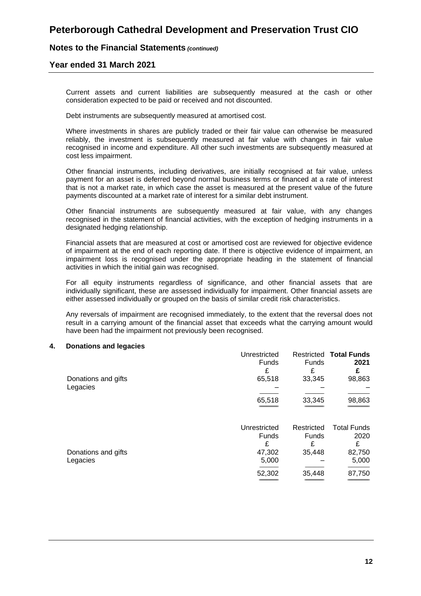### **Notes to the Financial Statements** *(continued)*

### **Year ended 31 March 2021**

Current assets and current liabilities are subsequently measured at the cash or other consideration expected to be paid or received and not discounted.

Debt instruments are subsequently measured at amortised cost.

Where investments in shares are publicly traded or their fair value can otherwise be measured reliably, the investment is subsequently measured at fair value with changes in fair value recognised in income and expenditure. All other such investments are subsequently measured at cost less impairment.

Other financial instruments, including derivatives, are initially recognised at fair value, unless payment for an asset is deferred beyond normal business terms or financed at a rate of interest that is not a market rate, in which case the asset is measured at the present value of the future payments discounted at a market rate of interest for a similar debt instrument.

Other financial instruments are subsequently measured at fair value, with any changes recognised in the statement of financial activities, with the exception of hedging instruments in a designated hedging relationship.

Financial assets that are measured at cost or amortised cost are reviewed for objective evidence of impairment at the end of each reporting date. If there is objective evidence of impairment, an impairment loss is recognised under the appropriate heading in the statement of financial activities in which the initial gain was recognised.

For all equity instruments regardless of significance, and other financial assets that are individually significant, these are assessed individually for impairment. Other financial assets are either assessed individually or grouped on the basis of similar credit risk characteristics.

Any reversals of impairment are recognised immediately, to the extent that the reversal does not result in a carrying amount of the financial asset that exceeds what the carrying amount would have been had the impairment not previously been recognised.

#### **4. Donations and legacies**

|                     | Unrestricted |              | <b>Restricted Total Funds</b> |
|---------------------|--------------|--------------|-------------------------------|
|                     | <b>Funds</b> | <b>Funds</b> | 2021                          |
|                     | £            | £            | £                             |
| Donations and gifts | 65,518       | 33,345       | 98,863                        |
| Legacies            |              |              |                               |
|                     | 65,518       | 33,345       | 98,863                        |
|                     |              |              |                               |
|                     | Unrestricted | Restricted   | <b>Total Funds</b>            |
|                     | <b>Funds</b> | <b>Funds</b> | 2020                          |
|                     | £            | £            | £                             |
| Donations and gifts | 47,302       | 35,448       | 82,750                        |
| Legacies            | 5,000        |              | 5,000                         |
|                     | 52,302       | 35,448       | 87,750                        |
|                     |              |              |                               |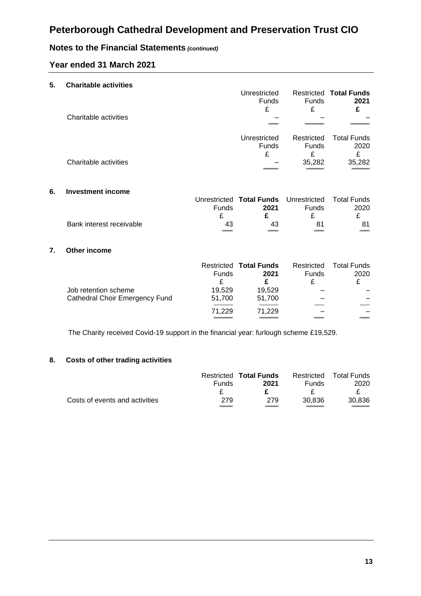## **Notes to the Financial Statements** *(continued)*

## **Year ended 31 March 2021**

| 5. | <b>Charitable activities</b> |                              |              |                                       |
|----|------------------------------|------------------------------|--------------|---------------------------------------|
|    |                              | Unrestricted<br><b>Funds</b> | <b>Funds</b> | <b>Restricted Total Funds</b><br>2021 |
|    |                              | £                            | £            | £                                     |
|    | Charitable activities        |                              |              |                                       |
|    |                              |                              |              |                                       |
|    |                              | Unrestricted                 | Restricted   | <b>Total Funds</b>                    |
|    |                              | <b>Funds</b>                 | <b>Funds</b> | 2020                                  |
|    |                              | £                            | £            | £                                     |
|    | Charitable activities        |                              | 35,282       | 35,282                                |
|    |                              |                              |              |                                       |

#### **6. Investment income**

|                          |              | Unrestricted Total Funds Unrestricted Total Funds |              |      |
|--------------------------|--------------|---------------------------------------------------|--------------|------|
|                          | <b>Funds</b> | 2021                                              | <b>Funds</b> | 2020 |
|                          |              |                                                   |              |      |
| Bank interest receivable | 43           | 43                                                | 81           |      |
|                          |              |                                                   |              |      |

#### **7. Other income**

|                                | Funds  | <b>Restricted Total Funds</b><br>2021 | Restricted<br><b>Funds</b> | <b>Total Funds</b><br>2020 |
|--------------------------------|--------|---------------------------------------|----------------------------|----------------------------|
|                                | ₽      |                                       |                            |                            |
| Job retention scheme           | 19.529 | 19,529                                |                            |                            |
| Cathedral Choir Emergency Fund | 51,700 | 51,700                                |                            |                            |
|                                |        |                                       |                            |                            |
|                                | 71,229 | 71,229                                |                            |                            |
|                                |        |                                       |                            |                            |

The Charity received Covid-19 support in the financial year: furlough scheme £19,529.

## **8. Costs of other trading activities**

|                                |              | <b>Restricted Total Funds</b> |              | Restricted Total Funds |
|--------------------------------|--------------|-------------------------------|--------------|------------------------|
|                                | <b>Funds</b> | 2021                          | <b>Funds</b> | 2020                   |
|                                |              |                               |              |                        |
| Costs of events and activities | 279          | 279                           | 30.836       | 30.836                 |
|                                |              |                               |              |                        |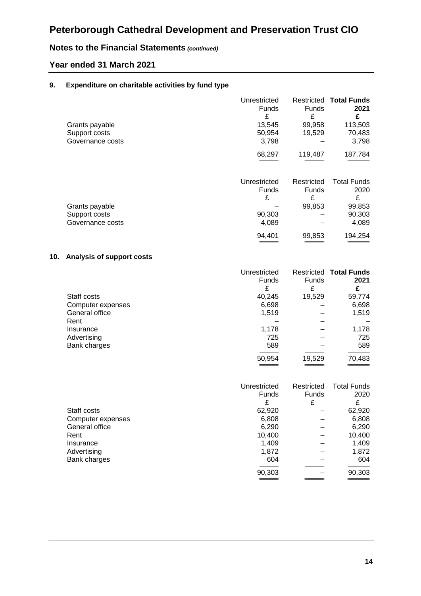## **Notes to the Financial Statements** *(continued)*

## **Year ended 31 March 2021**

### **9. Expenditure on charitable activities by fund type**

| Grants payable<br>Support costs<br>Governance costs | Unrestricted<br>Funds<br>£<br>13,545<br>50,954<br>3,798<br>68,297 | Funds<br>£<br>99,958<br>19,529<br>119,487           | <b>Restricted Total Funds</b><br>2021<br>£<br>113,503<br>70,483<br>3,798<br>187,784 |
|-----------------------------------------------------|-------------------------------------------------------------------|-----------------------------------------------------|-------------------------------------------------------------------------------------|
| Grants payable<br>Support costs<br>Governance costs | Unrestricted<br><b>Funds</b><br>£<br>90,303<br>4,089<br>94,401    | Restricted<br><b>Funds</b><br>£<br>99,853<br>99,853 | <b>Total Funds</b><br>2020<br>£<br>99,853<br>90,303<br>4,089<br>194,254             |

### **10. Analysis of support costs**

|                   | Unrestricted |              | <b>Restricted Total Funds</b> |
|-------------------|--------------|--------------|-------------------------------|
|                   | <b>Funds</b> | <b>Funds</b> | 2021                          |
|                   |              | £            | £                             |
| Staff costs       | 40,245       | 19,529       | 59,774                        |
| Computer expenses | 6,698        |              | 6,698                         |
| General office    | 1,519        |              | 1,519                         |
| Rent              |              |              |                               |
| Insurance         | 1,178        |              | 1,178                         |
| Advertising       | 725          |              | 725                           |
| Bank charges      | 589          |              | 589                           |
|                   | 50,954       | 19,529       | 70,483                        |

|                   | Unrestricted | Restricted   | <b>Total Funds</b> |
|-------------------|--------------|--------------|--------------------|
|                   | <b>Funds</b> | <b>Funds</b> | 2020               |
|                   | £            | £            | £                  |
| Staff costs       | 62,920       |              | 62,920             |
| Computer expenses | 6,808        |              | 6,808              |
| General office    | 6,290        |              | 6,290              |
| Rent              | 10,400       |              | 10,400             |
| Insurance         | 1,409        |              | 1,409              |
| Advertising       | 1,872        |              | 1,872              |
| Bank charges      | 604          |              | 604                |
|                   | 90,303       |              | 90,303             |
|                   |              |              |                    |

============================ ============================ ================================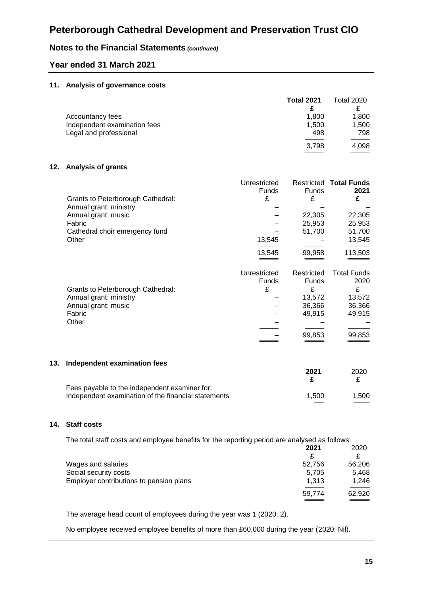## **Notes to the Financial Statements** *(continued)*

## **Year ended 31 March 2021**

#### **11. Analysis of governance costs**

|                              | <b>Total 2021</b> | Total 2020 |
|------------------------------|-------------------|------------|
| Accountancy fees             | 1.800             | 1,800      |
| Independent examination fees | 1.500             | 1,500      |
| Legal and professional       | 498               | 798        |
|                              | 3,798             | 4.098      |

#### **12. Analysis of grants**

| <b>Grants to Peterborough Cathedral:</b> | Unrestricted<br><b>Funds</b><br>£ | <b>Funds</b><br>£ | <b>Restricted Total Funds</b><br>2021<br>£ |
|------------------------------------------|-----------------------------------|-------------------|--------------------------------------------|
| Annual grant: ministry                   |                                   |                   |                                            |
| Annual grant: music                      |                                   | 22,305            | 22,305                                     |
| Fabric                                   |                                   | 25,953            | 25,953                                     |
| Cathedral choir emergency fund           |                                   | 51,700            | 51,700                                     |
| Other                                    | 13.545                            |                   | 13,545                                     |
|                                          | 13.545                            | 99.958            | 113,503                                    |

| Unrestricted | Restricted   | <b>Total Funds</b> |
|--------------|--------------|--------------------|
| Funds        | <b>Funds</b> | 2020               |
| £            | £            |                    |
|              | 13,572       | 13,572             |
|              | 36,366       | 36,366             |
|              | 49.915       | 49,915             |
|              |              |                    |
|              |              |                    |
|              | 99,853       | 99,853             |
|              |              |                    |
|              |              |                    |

### **13. Independent examination fees**

|                                                     | ZUZ I | ZUZU  |
|-----------------------------------------------------|-------|-------|
| Fees payable to the independent examiner for:       |       |       |
| Independent examination of the financial statements | 1.500 | 1.500 |

#### **14. Staff costs**

The total staff costs and employee benefits for the reporting period are analysed as follows:

|                                         | 2021   | 2020   |
|-----------------------------------------|--------|--------|
|                                         | £      |        |
| Wages and salaries                      | 52,756 | 56,206 |
| Social security costs                   | 5.705  | 5.468  |
| Employer contributions to pension plans | 1.313  | 1.246  |
|                                         | 59,774 | 62,920 |
|                                         |        |        |

The average head count of employees during the year was 1 (2020: 2).

No employee received employee benefits of more than £60,000 during the year (2020: Nil).

============================ ============================

============================ ============================ ================================

**2021** 2020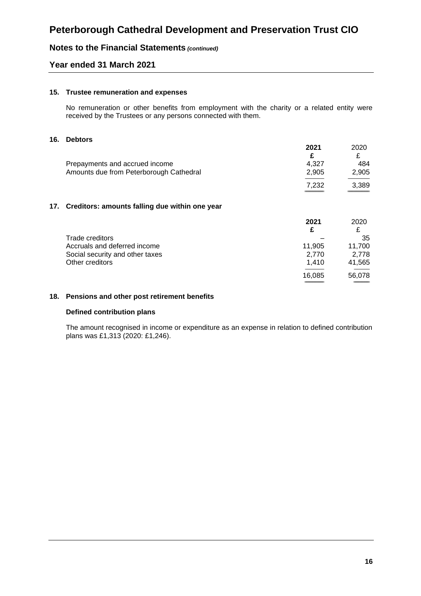## **Notes to the Financial Statements** *(continued)*

### **Year ended 31 March 2021**

#### **15. Trustee remuneration and expenses**

No remuneration or other benefits from employment with the charity or a related entity were received by the Trustees or any persons connected with them.

#### **16. Debtors**

|     |                                                | 2021<br>£ | 2020<br>£ |
|-----|------------------------------------------------|-----------|-----------|
|     | Prepayments and accrued income                 | 4,327     | 484       |
|     | Amounts due from Peterborough Cathedral        | 2,905     | 2,905     |
|     |                                                | 7,232     | 3,389     |
|     |                                                |           |           |
| 17. | Creditors: amounts falling due within one year |           |           |
|     |                                                | 2021      | 2020      |
|     |                                                | £         | £         |
|     | Trade creditors                                |           | 35        |
|     | Accruals and deferred income                   | 11,905    | 11,700    |
|     | Social security and other taxes                | 2,770     | 2,778     |
|     | Other creditors                                | 1,410     | 41,565    |
|     |                                                | 16,085    | 56,078    |

### **18. Pensions and other post retirement benefits**

#### **Defined contribution plans**

The amount recognised in income or expenditure as an expense in relation to defined contribution plans was £1,313 (2020: £1,246).

============================ =======================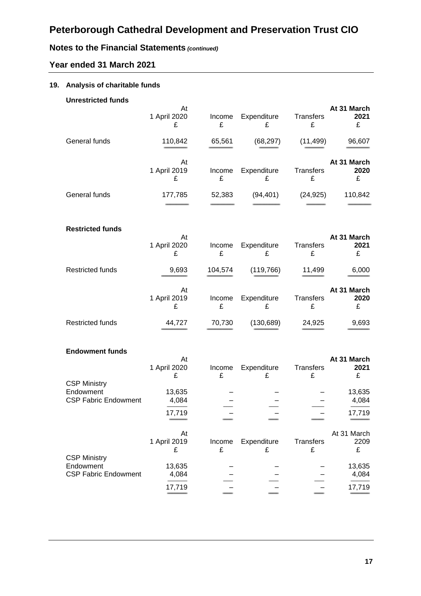# **Notes to the Financial Statements** *(continued)*

## **Year ended 31 March 2021**

## **19. Analysis of charitable funds**

| <b>Unrestricted funds</b>                | At                      |             |                  |                       | At 31 March              |
|------------------------------------------|-------------------------|-------------|------------------|-----------------------|--------------------------|
|                                          | 1 April 2020<br>£       | Income<br>£ | Expenditure<br>£ | Transfers<br>£        | 2021<br>£                |
| General funds                            | 110,842                 | 65,561      | (68, 297)        | (11, 499)             | 96,607                   |
|                                          | At<br>1 April 2019<br>£ | Income<br>£ | Expenditure<br>£ | Transfers<br>£        | At 31 March<br>2020<br>£ |
| General funds                            | 177,785                 | 52,383      | (94, 401)        | (24, 925)             | 110,842                  |
| <b>Restricted funds</b>                  |                         |             |                  |                       |                          |
|                                          | At<br>1 April 2020<br>£ | Income<br>£ | Expenditure<br>£ | Transfers<br>£        | At 31 March<br>2021<br>£ |
| <b>Restricted funds</b>                  | 9,693                   | 104,574     | (119, 766)       | 11,499                | 6,000                    |
|                                          | At<br>1 April 2019<br>£ | Income<br>£ | Expenditure<br>£ | Transfers<br>£        | At 31 March<br>2020<br>£ |
| <b>Restricted funds</b>                  | 44,727                  | 70,730      | (130, 689)       | 24,925                | 9,693                    |
| <b>Endowment funds</b>                   |                         |             |                  |                       |                          |
|                                          | At<br>1 April 2020<br>£ | Income<br>£ | Expenditure<br>£ | Transfers<br>£        | At 31 March<br>2021<br>£ |
| <b>CSP Ministry</b>                      |                         |             |                  |                       |                          |
| Endowment<br><b>CSP Fabric Endowment</b> | 13,635<br>4,084         |             |                  |                       | 13,635<br>4,084          |
|                                          | 17,719                  |             |                  |                       | 17,719                   |
| <b>CSP Ministry</b>                      | At<br>1 April 2019<br>£ | Income<br>£ | Expenditure<br>£ | <b>Transfers</b><br>£ | At 31 March<br>2209<br>£ |
| Endowment<br><b>CSP Fabric Endowment</b> | 13,635<br>4,084         |             |                  |                       | 13,635<br>4,084          |
|                                          | 17,719                  |             |                  |                       | 17,719                   |